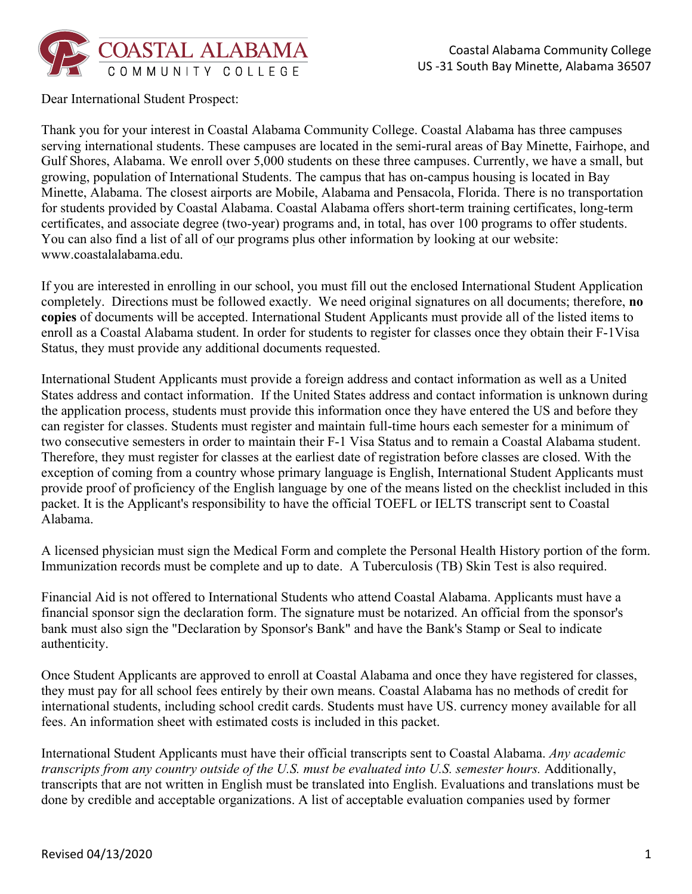

Dear International Student Prospect:

Thank you for your interest in Coastal Alabama Community College. Coastal Alabama has three campuses serving international students. These campuses are located in the semi-rural areas of Bay Minette, Fairhope, and Gulf Shores, Alabama. We enroll over 5,000 students on these three campuses. Currently, we have a small, but growing, population of International Students. The campus that has on-campus housing is located in Bay Minette, Alabama. The closest airports are Mobile, Alabama and Pensacola, Florida. There is no transportation for students provided by Coastal Alabama. Coastal Alabama offers short-term training certificates, long-term certificates, and associate degree (two-year) programs and, in total, has over 100 programs to offer students. You can also find a list of all of our programs plus other information by looking at our website: www.coastalalabama.edu.

If you are interested in enrolling in our school, you must fill out the enclosed International Student Application completely. Directions must be followed exactly. We need original signatures on all documents; therefore, **no copies** of documents will be accepted. International Student Applicants must provide all of the listed items to enroll as a Coastal Alabama student. In order for students to register for classes once they obtain their F-1Visa Status, they must provide any additional documents requested.

International Student Applicants must provide a foreign address and contact information as well as a United States address and contact information. If the United States address and contact information is unknown during the application process, students must provide this information once they have entered the US and before they can register for classes. Students must register and maintain full-time hours each semester for a minimum of two consecutive semesters in order to maintain their F-1 Visa Status and to remain a Coastal Alabama student. Therefore, they must register for classes at the earliest date of registration before classes are closed. With the exception of coming from a country whose primary language is English, International Student Applicants must provide proof of proficiency of the English language by one of the means listed on the checklist included in this packet. It is the Applicant's responsibility to have the official TOEFL or IELTS transcript sent to Coastal Alabama.

A licensed physician must sign the Medical Form and complete the Personal Health History portion of the form. Immunization records must be complete and up to date. A Tuberculosis (TB) Skin Test is also required.

Financial Aid is not offered to International Students who attend Coastal Alabama. Applicants must have a financial sponsor sign the declaration form. The signature must be notarized. An official from the sponsor's bank must also sign the "Declaration by Sponsor's Bank" and have the Bank's Stamp or Seal to indicate authenticity.

Once Student Applicants are approved to enroll at Coastal Alabama and once they have registered for classes, they must pay for all school fees entirely by their own means. Coastal Alabama has no methods of credit for international students, including school credit cards. Students must have US. currency money available for all fees. An information sheet with estimated costs is included in this packet.

International Student Applicants must have their official transcripts sent to Coastal Alabama. *Any academic transcripts from any country outside of the U.S. must be evaluated into U.S. semester hours.* Additionally, transcripts that are not written in English must be translated into English. Evaluations and translations must be done by credible and acceptable organizations. A list of acceptable evaluation companies used by former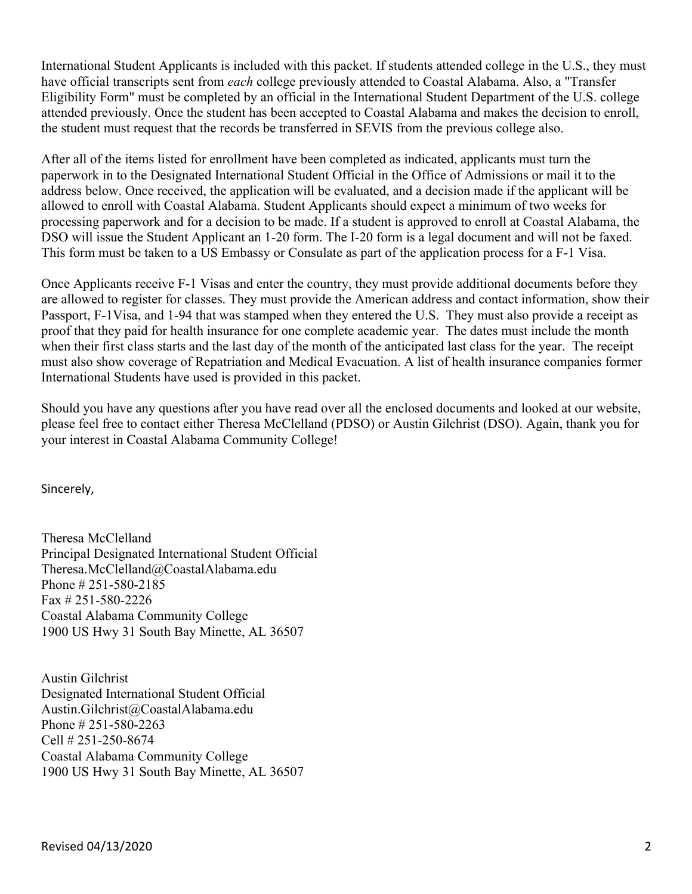International Student Applicants is included with this packet. If students attended college in the U.S., they must have official transcripts sent from *each* college previously attended to Coastal Alabama. Also, a "Transfer Eligibility Form" must be completed by an official in the International Student Department of the U.S. college attended previously. Once the student has been accepted to Coastal Alabama and makes the decision to enroll, the student must request that the records be transferred in SEVIS from the previous college also.

After all of the items listed for enrollment have been completed as indicated, applicants must turn the paperwork in to the Designated International Student Official in the Office of Admissions or mail it to the address below. Once received, the application will be evaluated, and a decision made if the applicant will be allowed to enroll with Coastal Alabama. Student Applicants should expect a minimum of two weeks for processing paperwork and for a decision to be made. If a student is approved to enroll at Coastal Alabama, the DSO will issue the Student Applicant an 1-20 form. The I-20 form is a legal document and will not be faxed. This form must be taken to a US Embassy or Consulate as part of the application process for a F-1 Visa.

Once Applicants receive F-1 Visas and enter the country, they must provide additional documents before they are allowed to register for classes. They must provide the American address and contact information, show their Passport, F-1Visa, and 1-94 that was stamped when they entered the U.S. They must also provide a receipt as proof that they paid for health insurance for one complete academic year. The dates must include the month when their first class starts and the last day of the month of the anticipated last class for the year. The receipt must also show coverage of Repatriation and Medical Evacuation. A list of health insurance companies former International Students have used is provided in this packet.

Should you have any questions after you have read over all the enclosed documents and looked at our website, please feel free to contact either Theresa McClelland (PDSO) or Austin Gilchrist (DSO). Again, thank you for your interest in Coastal Alabama Community College!

Sincerely,

Theresa McClelland Principal Designated International Student Official Theresa.McClelland@CoastalAlabama.edu Phone # 251-580-2185 Fax # 251-580-2226 Coastal Alabama Community College 1900 US Hwy 31 South Bay Minette, AL 36507

Austin Gilchrist Designated International Student Official Austin.Gilchrist@CoastalAlabama.edu Phone # 251-580-2263 Cell # 251-250-8674 Coastal Alabama Community College 1900 US Hwy 31 South Bay Minette, AL 36507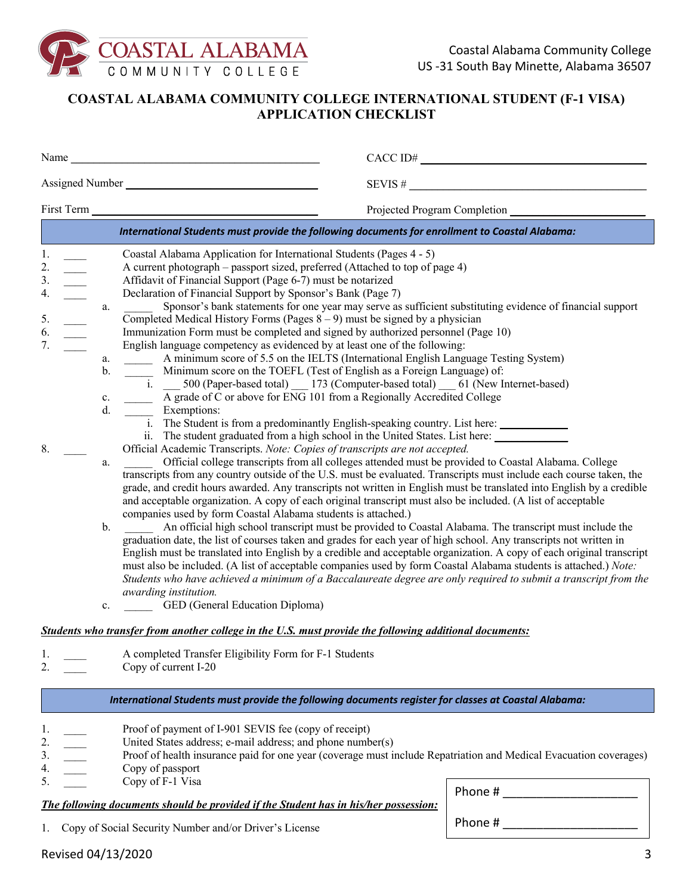

## **COASTAL ALABAMA COMMUNITY COLLEGE INTERNATIONAL STUDENT (F-1 VISA) APPLICATION CHECKLIST**

|                                                                                                  | CACCID#<br>Name                                                                                                                                                                                                                                                                                                                                                                                                                                                                                                                                                                                                                                                                                                                                                                                                    |
|--------------------------------------------------------------------------------------------------|--------------------------------------------------------------------------------------------------------------------------------------------------------------------------------------------------------------------------------------------------------------------------------------------------------------------------------------------------------------------------------------------------------------------------------------------------------------------------------------------------------------------------------------------------------------------------------------------------------------------------------------------------------------------------------------------------------------------------------------------------------------------------------------------------------------------|
|                                                                                                  | SEVIS #                                                                                                                                                                                                                                                                                                                                                                                                                                                                                                                                                                                                                                                                                                                                                                                                            |
|                                                                                                  |                                                                                                                                                                                                                                                                                                                                                                                                                                                                                                                                                                                                                                                                                                                                                                                                                    |
|                                                                                                  | International Students must provide the following documents for enrollment to Coastal Alabama:                                                                                                                                                                                                                                                                                                                                                                                                                                                                                                                                                                                                                                                                                                                     |
| 1.<br>2.<br>3.<br>4.<br>a.<br>$\overline{\phantom{a}}$<br>5.<br>6.<br>7.<br>a.<br>$\mathbf{b}$ . | Coastal Alabama Application for International Students (Pages 4 - 5)<br>A current photograph - passport sized, preferred (Attached to top of page 4)<br>Affidavit of Financial Support (Page 6-7) must be notarized<br>Declaration of Financial Support by Sponsor's Bank (Page 7)<br>Sponsor's bank statements for one year may serve as sufficient substituting evidence of financial support<br>Completed Medical History Forms (Pages $8-9$ ) must be signed by a physician<br>Immunization Form must be completed and signed by authorized personnel (Page 10)<br>English language competency as evidenced by at least one of the following:<br>A minimum score of 5.5 on the IELTS (International English Language Testing System)<br>Minimum score on the TOEFL (Test of English as a Foreign Language) of: |
| $\mathbf{c}.$<br>d.                                                                              | $\frac{1}{1}$ . 500 (Paper-based total) 173 (Computer-based total) 61 (New Internet-based)<br>A grade of C or above for ENG 101 from a Regionally Accredited College<br>Exemptions:<br>i. The Student is from a predominantly English-speaking country. List here:<br>ii. The student graduated from a high school in the United States. List here: ______________                                                                                                                                                                                                                                                                                                                                                                                                                                                 |
| 8.<br>a.                                                                                         | Official Academic Transcripts. Note: Copies of transcripts are not accepted.<br>Official college transcripts from all colleges attended must be provided to Coastal Alabama. College<br>transcripts from any country outside of the U.S. must be evaluated. Transcripts must include each course taken, the<br>grade, and credit hours awarded. Any transcripts not written in English must be translated into English by a credible<br>and acceptable organization. A copy of each original transcript must also be included. (A list of acceptable                                                                                                                                                                                                                                                               |
| $\mathbf{b}$ .<br>c.                                                                             | companies used by form Coastal Alabama students is attached.)<br>An official high school transcript must be provided to Coastal Alabama. The transcript must include the<br>graduation date, the list of courses taken and grades for each year of high school. Any transcripts not written in<br>English must be translated into English by a credible and acceptable organization. A copy of each original transcript<br>must also be included. (A list of acceptable companies used by form Coastal Alabama students is attached.) Note:<br>Students who have achieved a minimum of a Baccalaureate degree are only required to submit a transcript from the<br>awarding institution.<br>GED (General Education Diploma)                                                                                        |
|                                                                                                  | Students who transfer from another college in the U.S. must provide the following additional documents:                                                                                                                                                                                                                                                                                                                                                                                                                                                                                                                                                                                                                                                                                                            |
| 1.<br>2.                                                                                         | A completed Transfer Eligibility Form for F-1 Students<br>Copy of current I-20                                                                                                                                                                                                                                                                                                                                                                                                                                                                                                                                                                                                                                                                                                                                     |
|                                                                                                  | International Students must provide the following documents register for classes at Coastal Alabama:                                                                                                                                                                                                                                                                                                                                                                                                                                                                                                                                                                                                                                                                                                               |
|                                                                                                  | Proof of payment of I-901 SEVIS fee (copy of receipt)<br>United States address; e-mail address; and phone number(s)<br>Proof of health insurance paid for one year (coverage must include Repatriation and Medical Evacuation coverages)                                                                                                                                                                                                                                                                                                                                                                                                                                                                                                                                                                           |

- 4. \_\_\_\_\_\_ Copy of passport
- 5. \_\_\_\_ Copy of F-1 Visa

Phone #

### *The following documents should be provided if the Student has in his/her possession:*

1. Copy of Social Security Number and/or Driver's License

Phone #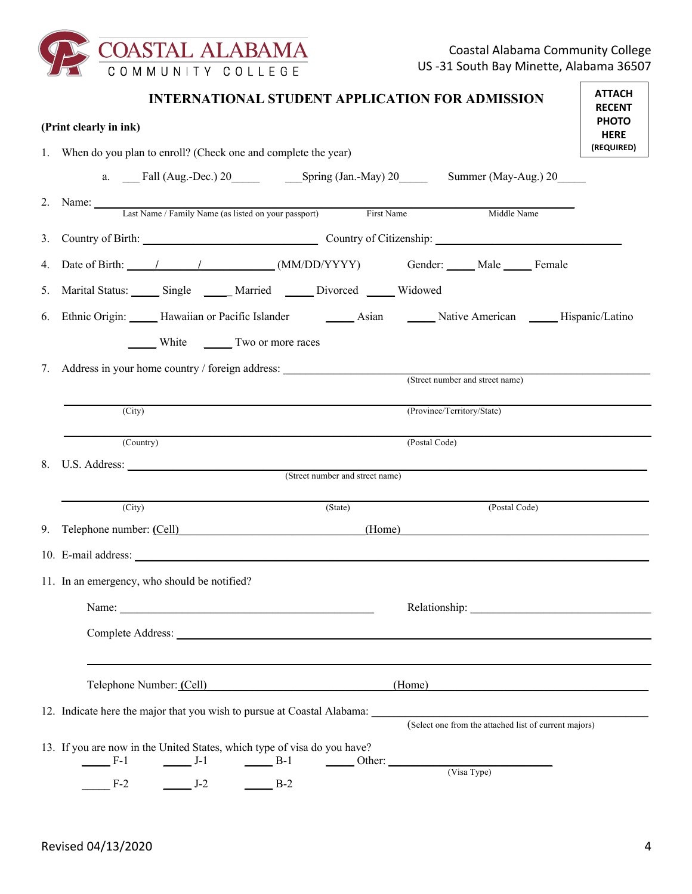

|    | <b>INTERNATIONAL STUDENT APPLICATION FOR ADMISSION</b><br>(Print clearly in ink)                                                                                                                                                                                                                                                                                                                                       |                                                                                                                                                                                                                                | <b>ATTACH</b><br><b>RECENT</b><br><b>PHOTO</b> |  |  |  |
|----|------------------------------------------------------------------------------------------------------------------------------------------------------------------------------------------------------------------------------------------------------------------------------------------------------------------------------------------------------------------------------------------------------------------------|--------------------------------------------------------------------------------------------------------------------------------------------------------------------------------------------------------------------------------|------------------------------------------------|--|--|--|
|    |                                                                                                                                                                                                                                                                                                                                                                                                                        |                                                                                                                                                                                                                                |                                                |  |  |  |
|    | 1. When do you plan to enroll? (Check one and complete the year)                                                                                                                                                                                                                                                                                                                                                       |                                                                                                                                                                                                                                |                                                |  |  |  |
|    |                                                                                                                                                                                                                                                                                                                                                                                                                        |                                                                                                                                                                                                                                |                                                |  |  |  |
|    | 2. Name: Last Name / Family Name (as listed on your passport) First Name                                                                                                                                                                                                                                                                                                                                               | Middle Name                                                                                                                                                                                                                    |                                                |  |  |  |
| 3. | Country of Birth: Country of Citizenship:                                                                                                                                                                                                                                                                                                                                                                              |                                                                                                                                                                                                                                |                                                |  |  |  |
| 4. |                                                                                                                                                                                                                                                                                                                                                                                                                        |                                                                                                                                                                                                                                |                                                |  |  |  |
| 5. | Marital Status: Single ____ Married ____ Divorced ____ Widowed                                                                                                                                                                                                                                                                                                                                                         |                                                                                                                                                                                                                                |                                                |  |  |  |
| 6. | Ethnic Origin: Hawaiian or Pacific Islander Matian Mative American Mative American Mispanic/Latino                                                                                                                                                                                                                                                                                                                     |                                                                                                                                                                                                                                |                                                |  |  |  |
|    | ______ White _________ Two or more races                                                                                                                                                                                                                                                                                                                                                                               |                                                                                                                                                                                                                                |                                                |  |  |  |
| 7. | Address in your home country / foreign address: _________________________________                                                                                                                                                                                                                                                                                                                                      |                                                                                                                                                                                                                                |                                                |  |  |  |
|    |                                                                                                                                                                                                                                                                                                                                                                                                                        | (Street number and street name)                                                                                                                                                                                                |                                                |  |  |  |
|    | $\overline{(City)}$                                                                                                                                                                                                                                                                                                                                                                                                    | (Province/Territory/State)                                                                                                                                                                                                     |                                                |  |  |  |
|    | (Country)                                                                                                                                                                                                                                                                                                                                                                                                              | (Postal Code)                                                                                                                                                                                                                  |                                                |  |  |  |
|    |                                                                                                                                                                                                                                                                                                                                                                                                                        |                                                                                                                                                                                                                                |                                                |  |  |  |
|    | (Street number and street name)                                                                                                                                                                                                                                                                                                                                                                                        |                                                                                                                                                                                                                                |                                                |  |  |  |
|    | (City)<br>(State)                                                                                                                                                                                                                                                                                                                                                                                                      | (Postal Code)                                                                                                                                                                                                                  |                                                |  |  |  |
|    | 9. Telephone number: (Cell) (Home)                                                                                                                                                                                                                                                                                                                                                                                     |                                                                                                                                                                                                                                |                                                |  |  |  |
|    |                                                                                                                                                                                                                                                                                                                                                                                                                        |                                                                                                                                                                                                                                |                                                |  |  |  |
|    | 11. In an emergency, who should be notified?                                                                                                                                                                                                                                                                                                                                                                           |                                                                                                                                                                                                                                |                                                |  |  |  |
|    | Name: $\frac{1}{\sqrt{1-\frac{1}{2}}}\left\{ \frac{1}{2}, \frac{1}{2}, \frac{1}{2}, \frac{1}{2}, \frac{1}{2}, \frac{1}{2}, \frac{1}{2}, \frac{1}{2}, \frac{1}{2}, \frac{1}{2}, \frac{1}{2}, \frac{1}{2}, \frac{1}{2}, \frac{1}{2}, \frac{1}{2}, \frac{1}{2}, \frac{1}{2}, \frac{1}{2}, \frac{1}{2}, \frac{1}{2}, \frac{1}{2}, \frac{1}{2}, \frac{1}{2}, \frac{1}{2}, \frac{1}{2}, \frac{1}{2}, \frac{1}{2}, \frac{1}{$ | Relationship: Network of the state of the state of the state of the state of the state of the state of the state of the state of the state of the state of the state of the state of the state of the state of the state of th |                                                |  |  |  |
|    |                                                                                                                                                                                                                                                                                                                                                                                                                        |                                                                                                                                                                                                                                |                                                |  |  |  |
|    |                                                                                                                                                                                                                                                                                                                                                                                                                        |                                                                                                                                                                                                                                |                                                |  |  |  |
|    | Telephone Number: (Cell)                                                                                                                                                                                                                                                                                                                                                                                               | (Home)                                                                                                                                                                                                                         |                                                |  |  |  |
|    |                                                                                                                                                                                                                                                                                                                                                                                                                        | (Select one from the attached list of current majors)                                                                                                                                                                          |                                                |  |  |  |
|    |                                                                                                                                                                                                                                                                                                                                                                                                                        |                                                                                                                                                                                                                                |                                                |  |  |  |
|    | 13. If you are now in the United States, which type of visa do you have?<br>$F-1$<br>$J-1$<br>$B-1$<br>$\frac{1}{\sqrt{1-\frac{1}{2}}\cdot\frac{1}{2}}$ Other:                                                                                                                                                                                                                                                         |                                                                                                                                                                                                                                |                                                |  |  |  |
|    | $F-2$<br>$J-2$<br>$B-2$                                                                                                                                                                                                                                                                                                                                                                                                | (Visa Type)                                                                                                                                                                                                                    |                                                |  |  |  |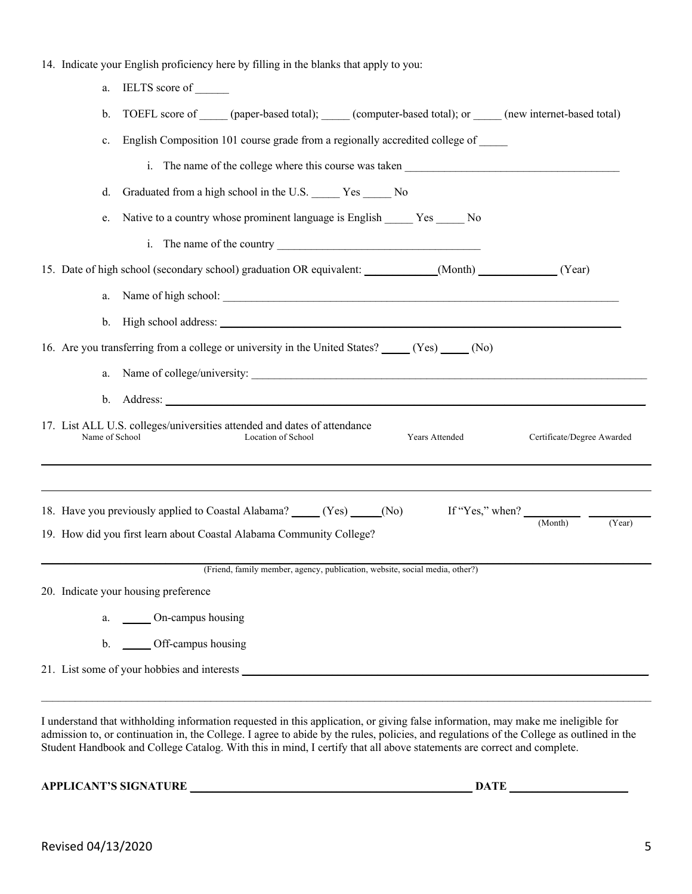|  |  |  | 14. Indicate your English proficiency here by filling in the blanks that apply to you: |  |
|--|--|--|----------------------------------------------------------------------------------------|--|
|  |  |  |                                                                                        |  |

| IELTS score of<br>a.                                                                                                               |                            |
|------------------------------------------------------------------------------------------------------------------------------------|----------------------------|
| TOEFL score of (paper-based total); (computer-based total); or (new internet-based total)<br>b.                                    |                            |
| English Composition 101 course grade from a regionally accredited college of<br>c.                                                 |                            |
| i. The name of the college where this course was taken                                                                             |                            |
| Graduated from a high school in the U.S. ______ Yes _____ No<br>d.                                                                 |                            |
| Native to a country whose prominent language is English ______ Yes _____ No<br>e.                                                  |                            |
|                                                                                                                                    |                            |
| 15. Date of high school (secondary school) graduation OR equivalent: ___________(Month) _________(Year)                            |                            |
|                                                                                                                                    |                            |
|                                                                                                                                    |                            |
| 16. Are you transferring from a college or university in the United States? _____ (Yes) _____ (No)                                 |                            |
| a.                                                                                                                                 |                            |
|                                                                                                                                    |                            |
| 17. List ALL U.S. colleges/universities attended and dates of attendance<br>Name of School<br>Location of School<br>Years Attended | Certificate/Degree Awarded |
| 18. Have you previously applied to Coastal Alabama? (Yes) (No) If "Yes," when? (Month) (Year)                                      |                            |
| 19. How did you first learn about Coastal Alabama Community College?                                                               |                            |
| (Friend, family member, agency, publication, website, social media, other?)                                                        |                            |
| 20. Indicate your housing preference                                                                                               |                            |
| a. _______ On-campus housing                                                                                                       |                            |
| b. ______ Off-campus housing                                                                                                       |                            |
|                                                                                                                                    |                            |

I understand that withholding information requested in this application, or giving false information, may make me ineligible for admission to, or continuation in, the College. I agree to abide by the rules, policies, and regulations of the College as outlined in the Student Handbook and College Catalog. With this in mind, I certify that all above statements are correct and complete.

**APPLICANT'S SIGNATURE \_\_\_\_\_\_\_\_\_\_\_\_\_\_\_\_\_\_\_\_\_\_\_\_\_\_\_\_\_\_\_\_\_\_\_\_\_\_\_\_\_\_\_\_\_\_\_\_\_\_ DATE \_\_\_\_\_\_\_\_\_\_\_\_\_\_\_\_\_\_\_\_\_**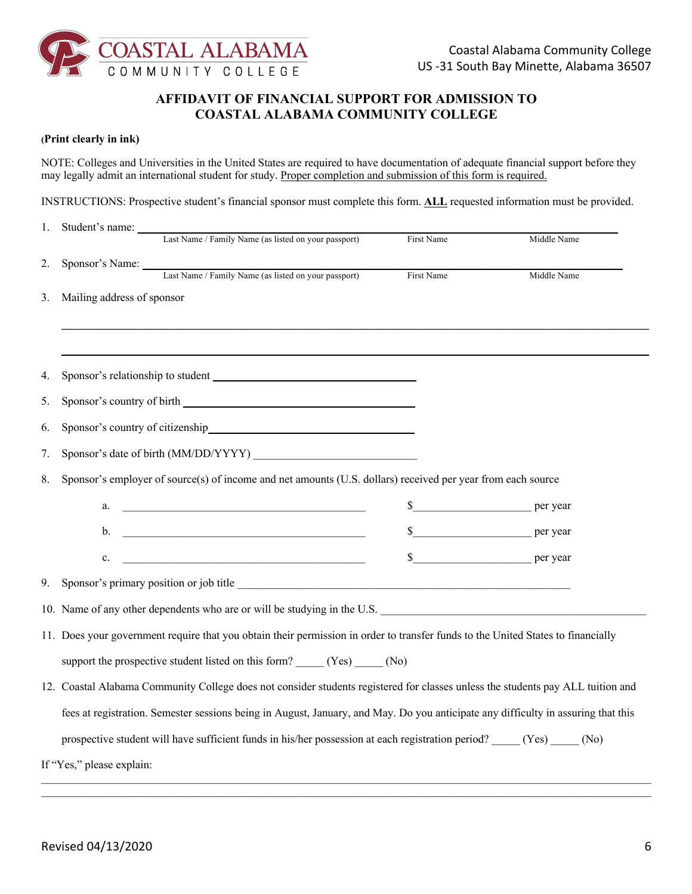

### **AFFIDAVIT OF FINANCIAL SUPPORT FOR ADMISSION TO COASTAL ALABAMA COMMUNITY COLLEGE**

#### **(Print clearly in ink)**

NOTE: Colleges and Universities in the United States are required to have documentation of adequate financial support before they may legally admit an international student for study. Proper completion and submission of this form is required.

INSTRUCTIONS: Prospective student's financial sponsor must complete this form. **ALL** requested information must be provided.

| 1. | Student's name:            |                                                                                                                                                                                                                                      |            |             |
|----|----------------------------|--------------------------------------------------------------------------------------------------------------------------------------------------------------------------------------------------------------------------------------|------------|-------------|
|    |                            | Last Name / Family Name (as listed on your passport)                                                                                                                                                                                 | First Name | Middle Name |
| 2. |                            | Sponsor's Name: Last Name / Family Name (as listed on your passport)                                                                                                                                                                 | First Name | Middle Name |
|    |                            |                                                                                                                                                                                                                                      |            |             |
| 3. | Mailing address of sponsor |                                                                                                                                                                                                                                      |            |             |
|    |                            |                                                                                                                                                                                                                                      |            |             |
|    |                            |                                                                                                                                                                                                                                      |            |             |
| 4. |                            | Sponsor's relationship to student                                                                                                                                                                                                    |            |             |
| 5. |                            |                                                                                                                                                                                                                                      |            |             |
| 6. |                            | Sponsor's country of citizenship example of the sponsor's country of citizenship                                                                                                                                                     |            |             |
| 7. |                            |                                                                                                                                                                                                                                      |            |             |
| 8. |                            | Sponsor's employer of source(s) of income and net amounts (U.S. dollars) received per year from each source                                                                                                                          |            |             |
|    | a.                         | <u> 1988 - Johann Barn, mars ann an t-Amhain ann an t-Amhain an t-Amhain ann an t-Amhain an t-Amhain ann an t-A</u>                                                                                                                  |            |             |
|    | b.                         | <u> 1989 - Johann Barbara, martin da basar da basar da basar da basar da basar da basar</u>                                                                                                                                          |            | \$ per year |
|    | c.                         | <u> 1989 - Johann Harry Harry Harry Harry Harry Harry Harry Harry Harry Harry Harry Harry Harry Harry Harry Harry Harry Harry Harry Harry Harry Harry Harry Harry Harry Harry Harry Harry Harry Harry Harry Harry Harry Harry Ha</u> |            |             |
| 9. |                            | Sponsor's primary position or job title                                                                                                                                                                                              |            |             |
|    |                            | 10. Name of any other dependents who are or will be studying in the U.S.                                                                                                                                                             |            |             |
|    |                            | 11. Does your government require that you obtain their permission in order to transfer funds to the United States to financially                                                                                                     |            |             |
|    |                            | support the prospective student listed on this form? _____ (Yes) _____ (No)                                                                                                                                                          |            |             |
|    |                            | 12. Coastal Alabama Community College does not consider students registered for classes unless the students pay ALL tuition and                                                                                                      |            |             |
|    |                            | fees at registration. Semester sessions being in August, January, and May. Do you anticipate any difficulty in assuring that this                                                                                                    |            |             |
|    |                            | prospective student will have sufficient funds in his/her possession at each registration period? (Yes) (No)                                                                                                                         |            |             |
|    | If "Yes," please explain:  |                                                                                                                                                                                                                                      |            |             |
|    |                            |                                                                                                                                                                                                                                      |            |             |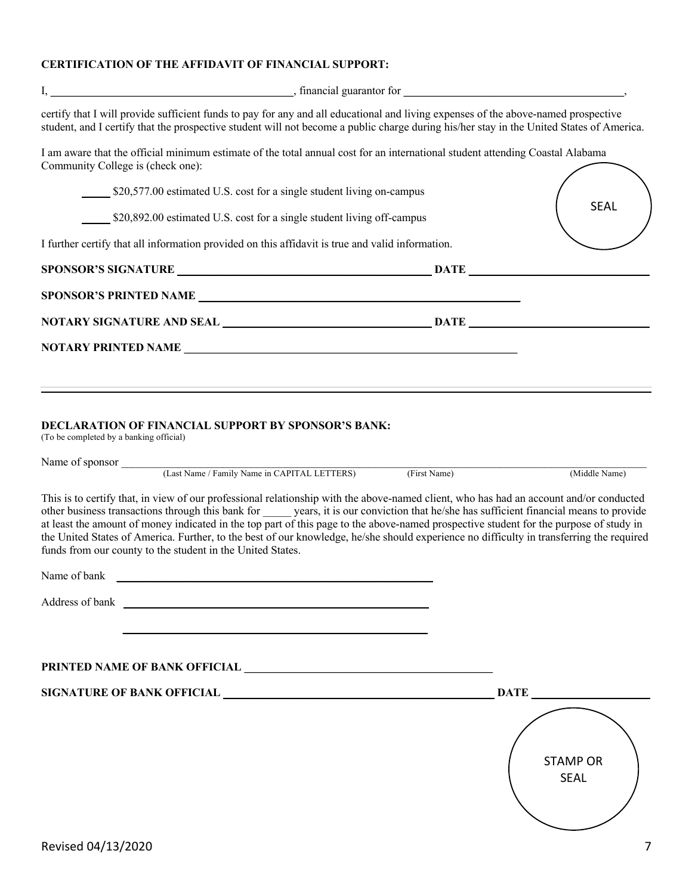### **CERTIFICATION OF THE AFFIDAVIT OF FINANCIAL SUPPORT:**

|                                         | certify that I will provide sufficient funds to pay for any and all educational and living expenses of the above-named prospective<br>student, and I certify that the prospective student will not become a public charge during his/her stay in the United States of America.                                                                                                                                                                                                                                                                                                                                                    |              |                                |
|-----------------------------------------|-----------------------------------------------------------------------------------------------------------------------------------------------------------------------------------------------------------------------------------------------------------------------------------------------------------------------------------------------------------------------------------------------------------------------------------------------------------------------------------------------------------------------------------------------------------------------------------------------------------------------------------|--------------|--------------------------------|
| Community College is (check one):       | I am aware that the official minimum estimate of the total annual cost for an international student attending Coastal Alabama                                                                                                                                                                                                                                                                                                                                                                                                                                                                                                     |              |                                |
|                                         | \$20,577.00 estimated U.S. cost for a single student living on-campus                                                                                                                                                                                                                                                                                                                                                                                                                                                                                                                                                             |              |                                |
|                                         | \$20,892.00 estimated U.S. cost for a single student living off-campus                                                                                                                                                                                                                                                                                                                                                                                                                                                                                                                                                            |              | <b>SEAL</b>                    |
|                                         | I further certify that all information provided on this affidavit is true and valid information.                                                                                                                                                                                                                                                                                                                                                                                                                                                                                                                                  |              |                                |
|                                         | SPONSOR'S SIGNATURE DATE                                                                                                                                                                                                                                                                                                                                                                                                                                                                                                                                                                                                          |              |                                |
|                                         |                                                                                                                                                                                                                                                                                                                                                                                                                                                                                                                                                                                                                                   |              |                                |
|                                         |                                                                                                                                                                                                                                                                                                                                                                                                                                                                                                                                                                                                                                   |              |                                |
|                                         |                                                                                                                                                                                                                                                                                                                                                                                                                                                                                                                                                                                                                                   |              |                                |
|                                         |                                                                                                                                                                                                                                                                                                                                                                                                                                                                                                                                                                                                                                   |              |                                |
| (To be completed by a banking official) | DECLARATION OF FINANCIAL SUPPORT BY SPONSOR'S BANK:<br>Name of sponsor (Last Name / Family Name in CAPITAL LETTERS)                                                                                                                                                                                                                                                                                                                                                                                                                                                                                                               | (First Name) | (Middle Name)                  |
|                                         | This is to certify that, in view of our professional relationship with the above-named client, who has had an account and/or conducted<br>other business transactions through this bank for years, it is our conviction that he/she has sufficient financial means to provide<br>at least the amount of money indicated in the top part of this page to the above-named prospective student for the purpose of study in<br>the United States of America. Further, to the best of our knowledge, he/she should experience no difficulty in transferring the required<br>funds from our county to the student in the United States. |              |                                |
| Name of bank                            |                                                                                                                                                                                                                                                                                                                                                                                                                                                                                                                                                                                                                                   |              |                                |
|                                         |                                                                                                                                                                                                                                                                                                                                                                                                                                                                                                                                                                                                                                   |              |                                |
|                                         | PRINTED NAME OF BANK OFFICIAL <b>CONTRACTED AND RELATED MANUSCRIPT</b>                                                                                                                                                                                                                                                                                                                                                                                                                                                                                                                                                            |              |                                |
|                                         | SIGNATURE OF BANK OFFICIAL NAMES AND DATE                                                                                                                                                                                                                                                                                                                                                                                                                                                                                                                                                                                         |              |                                |
|                                         |                                                                                                                                                                                                                                                                                                                                                                                                                                                                                                                                                                                                                                   |              | <b>STAMP OR</b><br><b>SEAL</b> |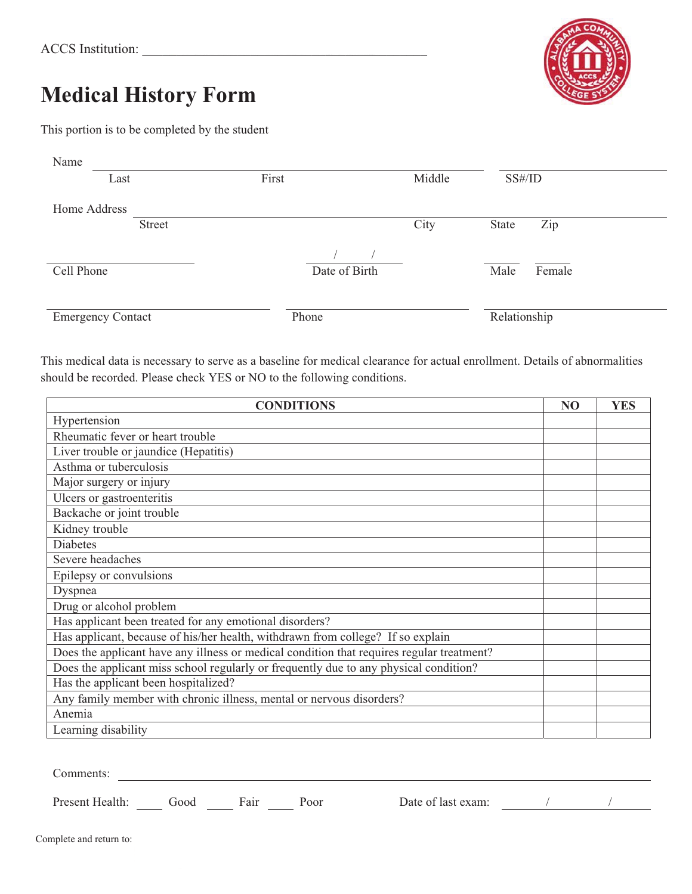# **Medical History Form**

This portion is to be completed by the student

| Name                     |        |               |        |                |  |
|--------------------------|--------|---------------|--------|----------------|--|
| Last                     |        | First         | Middle | SS#/ID         |  |
| Home Address             |        |               |        |                |  |
|                          | Street |               | City   | Zip<br>State   |  |
|                          |        |               |        |                |  |
| Cell Phone               |        | Date of Birth |        | Male<br>Female |  |
|                          |        |               |        |                |  |
| <b>Emergency Contact</b> |        | Phone         |        | Relationship   |  |

This medical data is necessary to serve as a baseline for medical clearance for actual enrollment. Details of abnormalities should be recorded. Please check YES or NO to the following conditions.

| <b>CONDITIONS</b>                                                                         | N <sub>O</sub> | <b>YES</b> |
|-------------------------------------------------------------------------------------------|----------------|------------|
| Hypertension                                                                              |                |            |
| Rheumatic fever or heart trouble                                                          |                |            |
| Liver trouble or jaundice (Hepatitis)                                                     |                |            |
| Asthma or tuberculosis                                                                    |                |            |
| Major surgery or injury                                                                   |                |            |
| Ulcers or gastroenteritis                                                                 |                |            |
| Backache or joint trouble                                                                 |                |            |
| Kidney trouble                                                                            |                |            |
| <b>Diabetes</b>                                                                           |                |            |
| Severe headaches                                                                          |                |            |
| Epilepsy or convulsions                                                                   |                |            |
| Dyspnea                                                                                   |                |            |
| Drug or alcohol problem                                                                   |                |            |
| Has applicant been treated for any emotional disorders?                                   |                |            |
| Has applicant, because of his/her health, withdrawn from college? If so explain           |                |            |
| Does the applicant have any illness or medical condition that requires regular treatment? |                |            |
| Does the applicant miss school regularly or frequently due to any physical condition?     |                |            |
| Has the applicant been hospitalized?                                                      |                |            |
| Any family member with chronic illness, mental or nervous disorders?                      |                |            |
| Anemia                                                                                    |                |            |
| Learning disability                                                                       |                |            |
|                                                                                           |                |            |
|                                                                                           |                |            |
| Comments:                                                                                 |                |            |

Present Health: Good Fair Poor Date of last exam: / / /

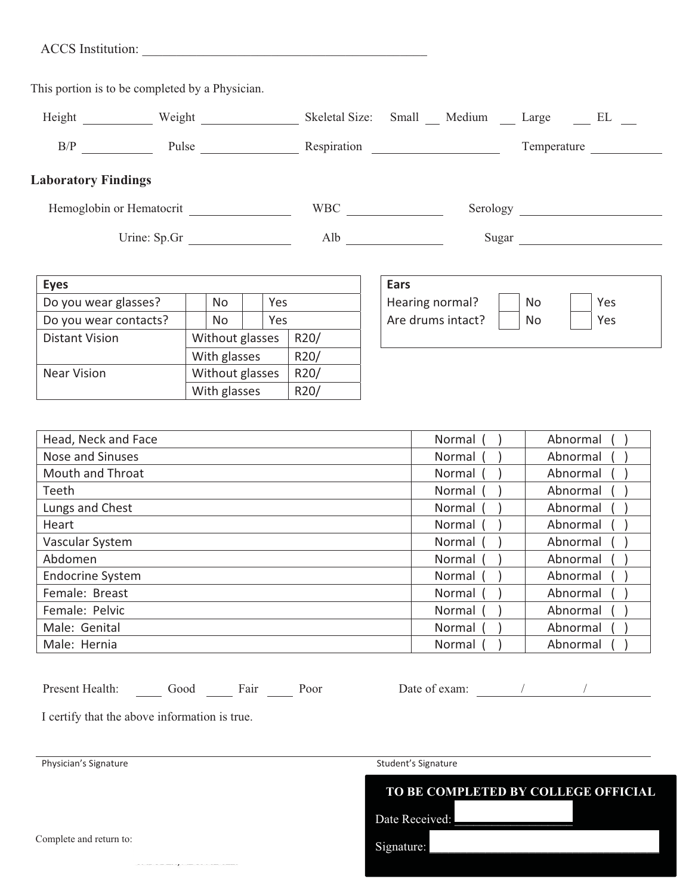| <b>ACCS</b> Institution: |  |
|--------------------------|--|
|                          |  |

This portion is to be completed by a Physician.

| Height | Weight | Skeletal Size: Small | Medium | Large       | EL |
|--------|--------|----------------------|--------|-------------|----|
| B/P    | Pulse  | Respiration          |        | Temperature |    |

### **Laboratory Findings**

Hemoglobin or Hematocrit WBC WBC Serology Serology

Urine: Sp.Gr Alb Sugar

**Eyes! ! ! ! Ears! ! ! ! !** Do you wear glasses?  $|| \cdot ||$  No  $|| \cdot ||$  Yes Do you wear contacts?  $\parallel$   $\parallel$  No  $\parallel$  Yes Distant Vision | Without glasses | R20/ With glasses | R20/ Near Vision Without glasses | R20/ With glasses  $\left|$  R20/

| Ears              |    |     |
|-------------------|----|-----|
| Hearing normal?   | No | Yes |
| Are drums intact? | No | Yes |
|                   |    |     |
|                   |    |     |

| Head, Neck and Face     | Normal | Abnormal |
|-------------------------|--------|----------|
| <b>Nose and Sinuses</b> | Normal | Abnormal |
| <b>Mouth and Throat</b> | Normal | Abnormal |
| Teeth                   | Normal | Abnormal |
| Lungs and Chest         | Normal | Abnormal |
| Heart                   | Normal | Abnormal |
| Vascular System         | Normal | Abnormal |
| Abdomen                 | Normal | Abnormal |
| <b>Endocrine System</b> | Normal | Abnormal |
| Female: Breast          | Normal | Abnormal |
| Female: Pelvic          | Normal | Abnormal |
| Male: Genital           | Normal | Abnormal |
| Male: Hernia            | Normal | Abnormal |

| Present Health:<br>Good<br>Fair |
|---------------------------------|
|---------------------------------|

Poor Date of exam: / / /

I certify that the above information is true.

Physician's Signature Signature Student's Signature Student's Signature



Signature:

Complete and return to: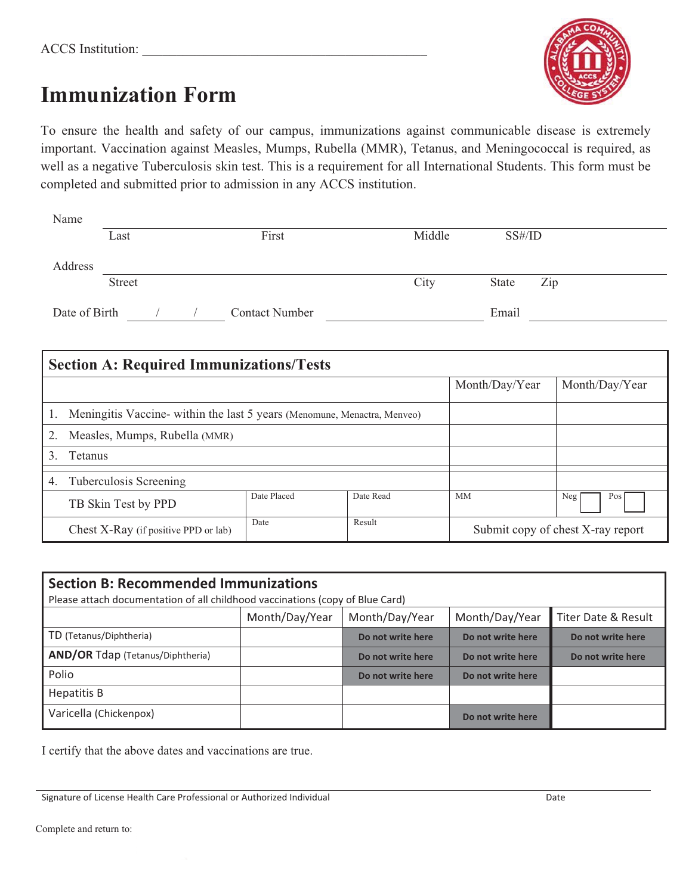

## **Immunization Form**

To ensure the health and safety of our campus, immunizations against communicable disease is extremely important. Vaccination against Measles, Mumps, Rubella (MMR), Tetanus, and Meningococcal is required, as well as a negative Tuberculosis skin test. This is a requirement for all International Students. This form must be completed and submitted prior to admission in any ACCS institution.

| Name          |               |                       |       |        |        |     |
|---------------|---------------|-----------------------|-------|--------|--------|-----|
|               | Last          |                       | First | Middle | SS#/ID |     |
|               |               |                       |       |        |        |     |
| Address       |               |                       |       |        |        |     |
|               | <b>Street</b> |                       |       | City   | State  | Zip |
|               |               |                       |       |        |        |     |
| Date of Birth |               | <b>Contact Number</b> |       |        | Email  |     |

| <b>Section A: Required Immunizations/Tests</b>                           |                                      |             |           |                |                                   |
|--------------------------------------------------------------------------|--------------------------------------|-------------|-----------|----------------|-----------------------------------|
|                                                                          |                                      |             |           | Month/Day/Year | Month/Day/Year                    |
| Meningitis Vaccine- within the last 5 years (Menomune, Menactra, Menveo) |                                      |             |           |                |                                   |
|                                                                          | Measles, Mumps, Rubella (MMR)        |             |           |                |                                   |
| 3.                                                                       | <b>Tetanus</b>                       |             |           |                |                                   |
| 4.                                                                       | Tuberculosis Screening               |             |           |                |                                   |
|                                                                          | TB Skin Test by PPD                  | Date Placed | Date Read | МM             | Neg<br>Pos                        |
|                                                                          | Chest X-Ray (if positive PPD or lab) | Date        | Result    |                | Submit copy of chest X-ray report |

| <b>Section B: Recommended Immunizations</b><br>Please attach documentation of all childhood vaccinations (copy of Blue Card) |                |                   |                   |                     |  |
|------------------------------------------------------------------------------------------------------------------------------|----------------|-------------------|-------------------|---------------------|--|
|                                                                                                                              | Month/Day/Year | Month/Day/Year    | Month/Day/Year    | Titer Date & Result |  |
| TD (Tetanus/Diphtheria)                                                                                                      |                | Do not write here | Do not write here | Do not write here   |  |
| <b>AND/OR Tdap (Tetanus/Diphtheria)</b>                                                                                      |                | Do not write here | Do not write here | Do not write here   |  |
| Polio                                                                                                                        |                | Do not write here | Do not write here |                     |  |
| Hepatitis B                                                                                                                  |                |                   |                   |                     |  |
| Varicella (Chickenpox)                                                                                                       |                |                   | Do not write here |                     |  |

I certify that the above dates and vaccinations are true.

Signature of License Health Care Professional or Authorized Individual Date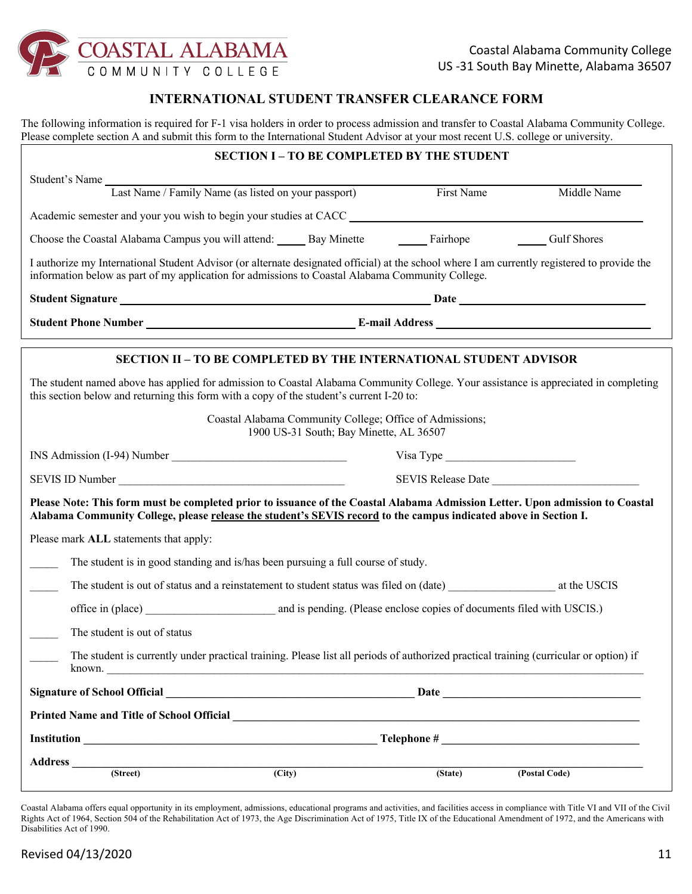

### **INTERNATIONAL STUDENT TRANSFER CLEARANCE FORM**

The following information is required for F-1 visa holders in order to process admission and transfer to Coastal Alabama Community College. Please complete section A and submit this form to the International Student Advisor at your most recent U.S. college or university.

|                                                                                                                                                                                                                                                                         | <b>SECTION I - TO BE COMPLETED BY THE STUDENT</b>                                                                                                                                                                              |                   |                    |  |  |  |
|-------------------------------------------------------------------------------------------------------------------------------------------------------------------------------------------------------------------------------------------------------------------------|--------------------------------------------------------------------------------------------------------------------------------------------------------------------------------------------------------------------------------|-------------------|--------------------|--|--|--|
| Student's Name                                                                                                                                                                                                                                                          |                                                                                                                                                                                                                                |                   |                    |  |  |  |
|                                                                                                                                                                                                                                                                         | Last Name / Family Name (as listed on your passport)                                                                                                                                                                           | First Name        | Middle Name        |  |  |  |
| Academic semester and your you wish to begin your studies at CACC                                                                                                                                                                                                       |                                                                                                                                                                                                                                |                   |                    |  |  |  |
| Choose the Coastal Alabama Campus you will attend: Bay Minette                                                                                                                                                                                                          |                                                                                                                                                                                                                                | Fairhope Fairhope | <b>Gulf Shores</b> |  |  |  |
| I authorize my International Student Advisor (or alternate designated official) at the school where I am currently registered to provide the<br>information below as part of my application for admissions to Coastal Alabama Community College.                        |                                                                                                                                                                                                                                |                   |                    |  |  |  |
| Student Signature <b>Example 2018</b> and 2018 and 2018 and 2018 and 2018 and 2018 and 2018 and 2018 and 2018 and 2018 and 2018 and 2018 and 2018 and 2018 and 2018 and 2018 and 2018 and 2018 and 2018 and 2018 and 2018 and 2018                                      |                                                                                                                                                                                                                                |                   |                    |  |  |  |
|                                                                                                                                                                                                                                                                         | Student Phone Number Learning Communication Communication Communication Communication Communication Communication Communication Communication Communication Communication Communication Communication Communication Communicat |                   |                    |  |  |  |
|                                                                                                                                                                                                                                                                         | <b>SECTION II - TO BE COMPLETED BY THE INTERNATIONAL STUDENT ADVISOR</b>                                                                                                                                                       |                   |                    |  |  |  |
| The student named above has applied for admission to Coastal Alabama Community College. Your assistance is appreciated in completing<br>this section below and returning this form with a copy of the student's current I-20 to:                                        |                                                                                                                                                                                                                                |                   |                    |  |  |  |
| Coastal Alabama Community College; Office of Admissions;<br>1900 US-31 South; Bay Minette, AL 36507                                                                                                                                                                     |                                                                                                                                                                                                                                |                   |                    |  |  |  |
| Visa Type                                                                                                                                                                                                                                                               |                                                                                                                                                                                                                                |                   |                    |  |  |  |
| SEVIS Release Date<br>SEVIS ID Number                                                                                                                                                                                                                                   |                                                                                                                                                                                                                                |                   |                    |  |  |  |
| Please Note: This form must be completed prior to issuance of the Coastal Alabama Admission Letter. Upon admission to Coastal<br>Alabama Community College, please release the student's SEVIS record to the campus indicated above in Section I.                       |                                                                                                                                                                                                                                |                   |                    |  |  |  |
| Please mark ALL statements that apply:                                                                                                                                                                                                                                  |                                                                                                                                                                                                                                |                   |                    |  |  |  |
| The student is in good standing and is/has been pursuing a full course of study.                                                                                                                                                                                        |                                                                                                                                                                                                                                |                   |                    |  |  |  |
|                                                                                                                                                                                                                                                                         |                                                                                                                                                                                                                                |                   |                    |  |  |  |
|                                                                                                                                                                                                                                                                         |                                                                                                                                                                                                                                |                   |                    |  |  |  |
| The student is out of status                                                                                                                                                                                                                                            |                                                                                                                                                                                                                                |                   |                    |  |  |  |
| The student is currently under practical training. Please list all periods of authorized practical training (curricular or option) if<br>known.<br><u> 1980 - Jan Barat, margaret amerikan basar dan berasal dari basar dalam basar dan basar dan basar dalam basar</u> |                                                                                                                                                                                                                                |                   |                    |  |  |  |
|                                                                                                                                                                                                                                                                         |                                                                                                                                                                                                                                |                   |                    |  |  |  |
| Printed Name and Title of School Official Charles Control of the School of School Official                                                                                                                                                                              |                                                                                                                                                                                                                                |                   |                    |  |  |  |
|                                                                                                                                                                                                                                                                         |                                                                                                                                                                                                                                |                   |                    |  |  |  |
|                                                                                                                                                                                                                                                                         |                                                                                                                                                                                                                                |                   |                    |  |  |  |
| (Street)                                                                                                                                                                                                                                                                | $\overline{(City)}$                                                                                                                                                                                                            | (State)           | (Postal Code)      |  |  |  |

Coastal Alabama offers equal opportunity in its employment, admissions, educational programs and activities, and facilities access in compliance with Title VI and VII of the Civil Rights Act of 1964, Section 504 of the Rehabilitation Act of 1973, the Age Discrimination Act of 1975, Title IX of the Educational Amendment of 1972, and the Americans with Disabilities Act of 1990.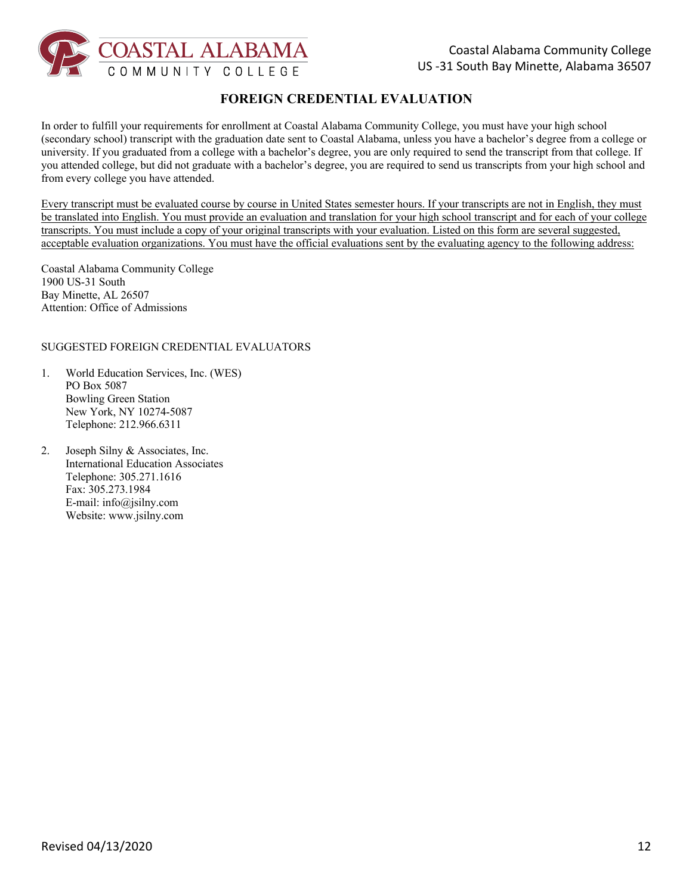

## **FOREIGN CREDENTIAL EVALUATION**

In order to fulfill your requirements for enrollment at Coastal Alabama Community College, you must have your high school (secondary school) transcript with the graduation date sent to Coastal Alabama, unless you have a bachelor's degree from a college or university. If you graduated from a college with a bachelor's degree, you are only required to send the transcript from that college. If you attended college, but did not graduate with a bachelor's degree, you are required to send us transcripts from your high school and from every college you have attended.

Every transcript must be evaluated course by course in United States semester hours. If your transcripts are not in English, they must be translated into English. You must provide an evaluation and translation for your high school transcript and for each of your college transcripts. You must include a copy of your original transcripts with your evaluation. Listed on this form are several suggested, acceptable evaluation organizations. You must have the official evaluations sent by the evaluating agency to the following address:

Coastal Alabama Community College 1900 US-31 South Bay Minette, AL 26507 Attention: Office of Admissions

### SUGGESTED FOREIGN CREDENTIAL EVALUATORS

- 1. World Education Services, Inc. (WES) PO Box 5087 Bowling Green Station New York, NY 10274-5087 Telephone: 212.966.6311
- 2. Joseph Silny & Associates, Inc. International Education Associates Telephone: 305.271.1616 Fax: 305.273.1984 E-mail: info@jsilny.com Website: www.jsilny.com